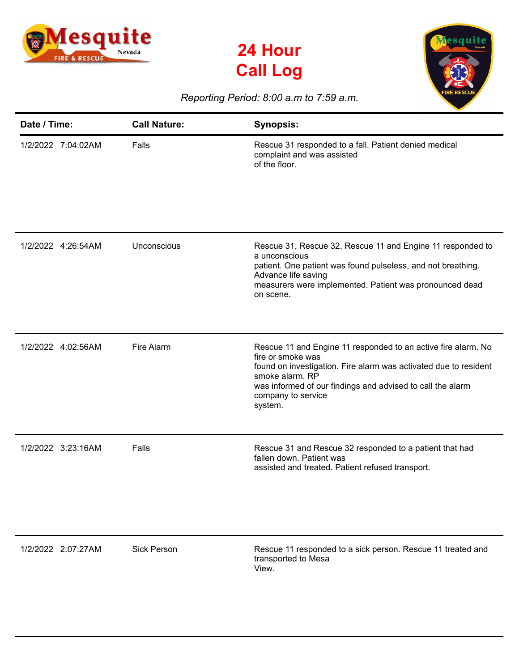





## *Reporting Period: 8:00 a.m to 7:59 a.m.*

| Date / Time:       | <b>Call Nature:</b> | <b>Synopsis:</b>                                                                                                                                                                                                                                                         |
|--------------------|---------------------|--------------------------------------------------------------------------------------------------------------------------------------------------------------------------------------------------------------------------------------------------------------------------|
| 1/2/2022 7:04:02AM | Falls               | Rescue 31 responded to a fall. Patient denied medical<br>complaint and was assisted<br>of the floor.                                                                                                                                                                     |
| 1/2/2022 4:26:54AM | Unconscious         | Rescue 31, Rescue 32, Rescue 11 and Engine 11 responded to<br>a unconscious<br>patient. One patient was found pulseless, and not breathing.<br>Advance life saving<br>measurers were implemented. Patient was pronounced dead<br>on scene.                               |
| 1/2/2022 4:02:56AM | Fire Alarm          | Rescue 11 and Engine 11 responded to an active fire alarm. No<br>fire or smoke was<br>found on investigation. Fire alarm was activated due to resident<br>smoke alarm. RP<br>was informed of our findings and advised to call the alarm<br>company to service<br>system. |
| 1/2/2022 3:23:16AM | Falls               | Rescue 31 and Rescue 32 responded to a patient that had<br>fallen down. Patient was<br>assisted and treated. Patient refused transport.                                                                                                                                  |
| 1/2/2022 2:07:27AM | <b>Sick Person</b>  | Rescue 11 responded to a sick person. Rescue 11 treated and<br>transported to Mesa<br>View.                                                                                                                                                                              |